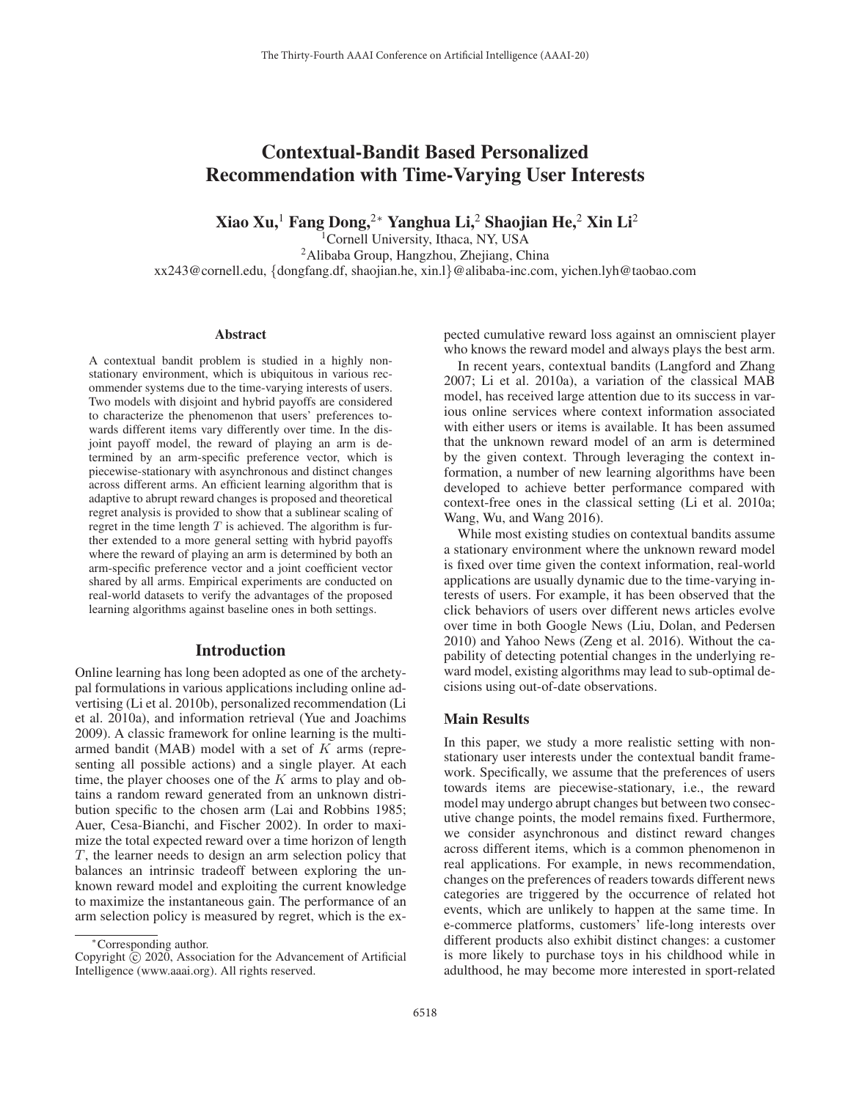# Contextual-Bandit Based Personalized Recommendation with Time-Varying User Interests

Xiao Xu, $^1$  Fang Dong, $^{2*}$  Yanghua Li, $^2$  Shaojian He, $^2$  Xin Li $^2$ 

<sup>1</sup>Cornell University, Ithaca, NY, USA

2Alibaba Group, Hangzhou, Zhejiang, China xx243@cornell.edu, {dongfang.df, shaojian.he, xin.l}@alibaba-inc.com, yichen.lyh@taobao.com

#### Abstract

A contextual bandit problem is studied in a highly nonstationary environment, which is ubiquitous in various recommender systems due to the time-varying interests of users. Two models with disjoint and hybrid payoffs are considered to characterize the phenomenon that users' preferences towards different items vary differently over time. In the disjoint payoff model, the reward of playing an arm is determined by an arm-specific preference vector, which is piecewise-stationary with asynchronous and distinct changes across different arms. An efficient learning algorithm that is adaptive to abrupt reward changes is proposed and theoretical regret analysis is provided to show that a sublinear scaling of regret in the time length  $T$  is achieved. The algorithm is further extended to a more general setting with hybrid payoffs where the reward of playing an arm is determined by both an arm-specific preference vector and a joint coefficient vector shared by all arms. Empirical experiments are conducted on real-world datasets to verify the advantages of the proposed learning algorithms against baseline ones in both settings.

#### Introduction

Online learning has long been adopted as one of the archetypal formulations in various applications including online advertising (Li et al. 2010b), personalized recommendation (Li et al. 2010a), and information retrieval (Yue and Joachims 2009). A classic framework for online learning is the multiarmed bandit (MAB) model with a set of K arms (representing all possible actions) and a single player. At each time, the player chooses one of the  $K$  arms to play and obtains a random reward generated from an unknown distribution specific to the chosen arm (Lai and Robbins 1985; Auer, Cesa-Bianchi, and Fischer 2002). In order to maximize the total expected reward over a time horizon of length T, the learner needs to design an arm selection policy that balances an intrinsic tradeoff between exploring the unknown reward model and exploiting the current knowledge to maximize the instantaneous gain. The performance of an arm selection policy is measured by regret, which is the expected cumulative reward loss against an omniscient player who knows the reward model and always plays the best arm.

In recent years, contextual bandits (Langford and Zhang 2007; Li et al. 2010a), a variation of the classical MAB model, has received large attention due to its success in various online services where context information associated with either users or items is available. It has been assumed that the unknown reward model of an arm is determined by the given context. Through leveraging the context information, a number of new learning algorithms have been developed to achieve better performance compared with context-free ones in the classical setting (Li et al. 2010a; Wang, Wu, and Wang 2016).

While most existing studies on contextual bandits assume a stationary environment where the unknown reward model is fixed over time given the context information, real-world applications are usually dynamic due to the time-varying interests of users. For example, it has been observed that the click behaviors of users over different news articles evolve over time in both Google News (Liu, Dolan, and Pedersen 2010) and Yahoo News (Zeng et al. 2016). Without the capability of detecting potential changes in the underlying reward model, existing algorithms may lead to sub-optimal decisions using out-of-date observations.

# Main Results

In this paper, we study a more realistic setting with nonstationary user interests under the contextual bandit framework. Specifically, we assume that the preferences of users towards items are piecewise-stationary, i.e., the reward model may undergo abrupt changes but between two consecutive change points, the model remains fixed. Furthermore, we consider asynchronous and distinct reward changes across different items, which is a common phenomenon in real applications. For example, in news recommendation, changes on the preferences of readers towards different news categories are triggered by the occurrence of related hot events, which are unlikely to happen at the same time. In e-commerce platforms, customers' life-long interests over different products also exhibit distinct changes: a customer is more likely to purchase toys in his childhood while in adulthood, he may become more interested in sport-related

<sup>∗</sup>Corresponding author.

Copyright  $\odot$  2020, Association for the Advancement of Artificial Intelligence (www.aaai.org). All rights reserved.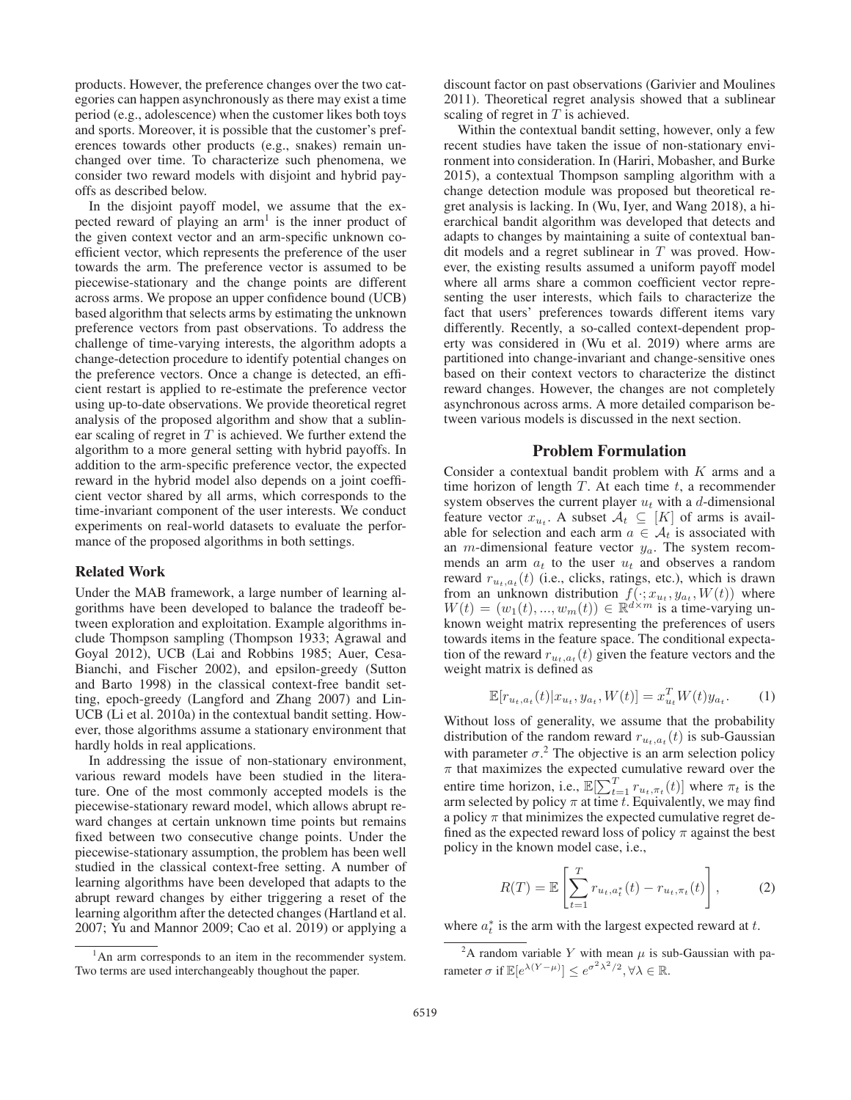products. However, the preference changes over the two categories can happen asynchronously as there may exist a time period (e.g., adolescence) when the customer likes both toys and sports. Moreover, it is possible that the customer's preferences towards other products (e.g., snakes) remain unchanged over time. To characterize such phenomena, we consider two reward models with disjoint and hybrid payoffs as described below.

In the disjoint payoff model, we assume that the expected reward of playing an  $arm<sup>1</sup>$  is the inner product of the given context vector and an arm-specific unknown coefficient vector, which represents the preference of the user towards the arm. The preference vector is assumed to be piecewise-stationary and the change points are different across arms. We propose an upper confidence bound (UCB) based algorithm that selects arms by estimating the unknown preference vectors from past observations. To address the challenge of time-varying interests, the algorithm adopts a change-detection procedure to identify potential changes on the preference vectors. Once a change is detected, an efficient restart is applied to re-estimate the preference vector using up-to-date observations. We provide theoretical regret analysis of the proposed algorithm and show that a sublinear scaling of regret in  $T$  is achieved. We further extend the algorithm to a more general setting with hybrid payoffs. In addition to the arm-specific preference vector, the expected reward in the hybrid model also depends on a joint coefficient vector shared by all arms, which corresponds to the time-invariant component of the user interests. We conduct experiments on real-world datasets to evaluate the performance of the proposed algorithms in both settings.

# Related Work

Under the MAB framework, a large number of learning algorithms have been developed to balance the tradeoff between exploration and exploitation. Example algorithms include Thompson sampling (Thompson 1933; Agrawal and Goyal 2012), UCB (Lai and Robbins 1985; Auer, Cesa-Bianchi, and Fischer 2002), and epsilon-greedy (Sutton and Barto 1998) in the classical context-free bandit setting, epoch-greedy (Langford and Zhang 2007) and Lin-UCB (Li et al. 2010a) in the contextual bandit setting. However, those algorithms assume a stationary environment that hardly holds in real applications.

In addressing the issue of non-stationary environment, various reward models have been studied in the literature. One of the most commonly accepted models is the piecewise-stationary reward model, which allows abrupt reward changes at certain unknown time points but remains fixed between two consecutive change points. Under the piecewise-stationary assumption, the problem has been well studied in the classical context-free setting. A number of learning algorithms have been developed that adapts to the abrupt reward changes by either triggering a reset of the learning algorithm after the detected changes (Hartland et al. 2007; Yu and Mannor 2009; Cao et al. 2019) or applying a

discount factor on past observations (Garivier and Moulines 2011). Theoretical regret analysis showed that a sublinear scaling of regret in  $T$  is achieved.

Within the contextual bandit setting, however, only a few recent studies have taken the issue of non-stationary environment into consideration. In (Hariri, Mobasher, and Burke 2015), a contextual Thompson sampling algorithm with a change detection module was proposed but theoretical regret analysis is lacking. In (Wu, Iyer, and Wang 2018), a hierarchical bandit algorithm was developed that detects and adapts to changes by maintaining a suite of contextual bandit models and a regret sublinear in  $T$  was proved. However, the existing results assumed a uniform payoff model where all arms share a common coefficient vector representing the user interests, which fails to characterize the fact that users' preferences towards different items vary differently. Recently, a so-called context-dependent property was considered in (Wu et al. 2019) where arms are partitioned into change-invariant and change-sensitive ones based on their context vectors to characterize the distinct reward changes. However, the changes are not completely asynchronous across arms. A more detailed comparison between various models is discussed in the next section.

#### Problem Formulation

Consider a contextual bandit problem with  $K$  arms and a time horizon of length  $T$ . At each time  $t$ , a recommender system observes the current player  $u_t$  with a d-dimensional feature vector  $x_{u_t}$ . A subset  $\mathcal{A}_t \subseteq [K]$  of arms is available for selection and each arm  $a \in \mathcal{A}_t$  is associated with an *m*-dimensional feature vector  $y_a$ . The system recommends an arm  $a_t$  to the user  $u_t$  and observes a random reward  $r_{u_t, a_t}(t)$  (i.e., clicks, ratings, etc.), which is drawn from an unknown distribution  $f(\cdot; x_{u_t}, y_{a_t}, W(t))$  where  $W(t) = (w_1(t) - w_m(t)) \in \mathbb{R}^{d \times m}$  is a time-varying un- $W(t)=(w_1(t),..., w_m(t)) \in \mathbb{R}^{d \times m}$  is a time-varying un-<br>known weight matrix representing the preferences of users known weight matrix representing the preferences of users towards items in the feature space. The conditional expectation of the reward  $r_{u_t,a_t}(t)$  given the feature vectors and the weight matrix is defined as

$$
\mathbb{E}[r_{u_t, a_t}(t) | x_{u_t}, y_{a_t}, W(t)] = x_{u_t}^T W(t) y_{a_t}.
$$
 (1)

Without loss of generality, we assume that the probability distribution of the random reward  $r_{u_t,a_t}(t)$  is sub-Gaussian with parameter  $\sigma$ <sup>2</sup>. The objective is an arm selection policy  $\pi$  that maximizes the expected cumulative reward over the entire time horizon, i.e.,  $\mathbb{E}[\sum_{t=1}^T r_{u_t, \pi_t}(t)]$  where  $\pi_t$  is the arm selected by policy  $\pi$  at time t. Equivalently, we may find a policy  $\pi$  that minimizes the expected cumulative regret defined as the expected reward loss of policy  $\pi$  against the best policy in the known model case, i.e.,

$$
R(T) = \mathbb{E}\left[\sum_{t=1}^{T} r_{u_t, a_t^*}(t) - r_{u_t, \pi_t}(t)\right],
$$
 (2)

where  $a_t^*$  is the arm with the largest expected reward at t.

<sup>&</sup>lt;sup>1</sup>An arm corresponds to an item in the recommender system. Two terms are used interchangeably thoughout the paper.

<sup>&</sup>lt;sup>2</sup>A random variable Y with mean  $\mu$  is sub-Gaussian with parameter  $\sigma$  if  $\mathbb{E}[e^{\lambda(Y-\mu)}] \leq e^{\sigma^2\lambda^2/2}, \forall \lambda \in \mathbb{R}$ .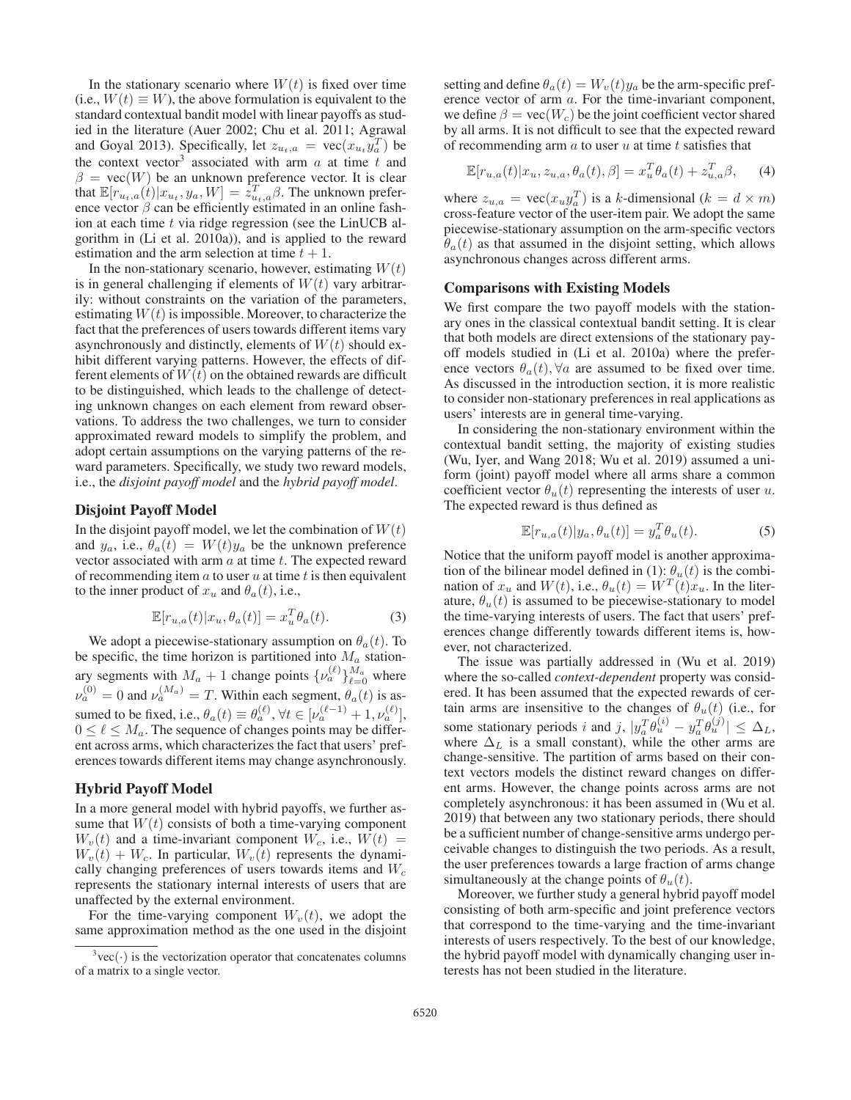In the stationary scenario where  $W(t)$  is fixed over time (i.e.,  $W(t) \equiv W$ ), the above formulation is equivalent to the standard contextual bandit model with linear payoffs as studied in the literature (Auer 2002; Chu et al. 2011; Agrawal and Goyal 2013). Specifically, let  $z_{u_t,a} = \text{vec}(x_u, y_a^T)$  be the context vector<sup>3</sup> associated with arm a at time t and the context vector<sup>3</sup> associated with arm  $a$  at time  $t$  and  $\beta = \text{vec}(W)$  be an unknown preference vector. It is clear that  $\mathbb{E}[r_{u_t,a}(t)|x_u, y_a, W] = \dot{z}_{u_t,a}^T \beta$ . The unknown preference vector  $\beta$  can be efficiently estimated in an online fashence vector  $\beta$  can be efficiently estimated in an online fashion at each time  $t$  via ridge regression (see the LinUCB algorithm in (Li et al. 2010a)), and is applied to the reward estimation and the arm selection at time  $t + 1$ .

In the non-stationary scenario, however, estimating  $W(t)$ is in general challenging if elements of  $W(t)$  vary arbitrarily: without constraints on the variation of the parameters, estimating  $W(t)$  is impossible. Moreover, to characterize the fact that the preferences of users towards different items vary asynchronously and distinctly, elements of  $W(t)$  should exhibit different varying patterns. However, the effects of different elements of  $W(t)$  on the obtained rewards are difficult to be distinguished, which leads to the challenge of detecting unknown changes on each element from reward observations. To address the two challenges, we turn to consider approximated reward models to simplify the problem, and adopt certain assumptions on the varying patterns of the reward parameters. Specifically, we study two reward models, i.e., the *disjoint payoff model* and the *hybrid payoff model*.

# Disjoint Payoff Model

In the disjoint payoff model, we let the combination of  $W(t)$ and  $y_a$ , i.e.,  $\theta_a(t) = W(t)y_a$  be the unknown preference vector associated with arm  $a$  at time  $t$ . The expected reward of recommending item  $a$  to user  $u$  at time  $t$  is then equivalent to the inner product of  $x_u$  and  $\theta_a(t)$ , i.e.,

$$
\mathbb{E}[r_{u,a}(t)|x_u, \theta_a(t)] = x_u^T \theta_a(t). \tag{3}
$$

We adopt a piecewise-stationary assumption on  $\theta_a(t)$ . To be specific, the time horizon is partitioned into  $M_a$  stationary segments with  $M_a + 1$  change points  $\{v_a^{(\ell)}\}_{\ell=0}^{M_a}$  where  $\nu_a^{(0)} = 0$  and  $\nu_a^{(M_a)} = T$ . Within each segment,  $\theta_a(t)$  is assumed to be fixed, i.e.,  $\theta_a(t) \equiv \theta_a^{(\ell)}$ ,  $\forall t \in [\nu_a^{(\ell-1)} + 1, \nu_a^{(\ell)}]$ ,  $0 \le \ell \le M$ . The sequence of changes points may be differ- $0 \leq \ell \leq M_a$ . The sequence of changes points may be different across arms, which characterizes the fact that users' preferences towards different items may change asynchronously.

#### Hybrid Payoff Model

In a more general model with hybrid payoffs, we further assume that  $W(t)$  consists of both a time-varying component  $W_v(t)$  and a time-invariant component  $W_c$ , i.e.,  $W(t)$  =  $W_v(t) + W_c$ . In particular,  $W_v(t)$  represents the dynamically changing preferences of users towards items and  $W_c$ represents the stationary internal interests of users that are unaffected by the external environment.

For the time-varying component  $W_v(t)$ , we adopt the same approximation method as the one used in the disjoint

setting and define  $\theta_a(t) = W_v(t)y_a$  be the arm-specific preference vector of arm a. For the time-invariant component, we define  $\beta = \text{vec}(W_c)$  be the joint coefficient vector shared by all arms. It is not difficult to see that the expected reward of recommending arm  $a$  to user  $u$  at time  $t$  satisfies that

$$
\mathbb{E}[r_{u,a}(t)|x_u, z_{u,a}, \theta_a(t), \beta] = x_u^T \theta_a(t) + z_{u,a}^T \beta, \quad (4)
$$

where  $z_{u,a} = \text{vec}(x_u y_a^T)$  is a k-dimensional  $(k = d \times m)$ <br>cross-feature vector of the user-item pair. We adopt the same cross-feature vector of the user-item pair. We adopt the same piecewise-stationary assumption on the arm-specific vectors  $\theta_a(t)$  as that assumed in the disjoint setting, which allows asynchronous changes across different arms.

#### Comparisons with Existing Models

We first compare the two payoff models with the stationary ones in the classical contextual bandit setting. It is clear that both models are direct extensions of the stationary payoff models studied in (Li et al. 2010a) where the preference vectors  $\theta_a(t)$ ,  $\forall a$  are assumed to be fixed over time. As discussed in the introduction section, it is more realistic to consider non-stationary preferences in real applications as users' interests are in general time-varying.

In considering the non-stationary environment within the contextual bandit setting, the majority of existing studies (Wu, Iyer, and Wang 2018; Wu et al. 2019) assumed a uniform (joint) payoff model where all arms share a common coefficient vector  $\theta_u(t)$  representing the interests of user u. The expected reward is thus defined as

$$
\mathbb{E}[r_{u,a}(t)|y_a, \theta_u(t)] = y_a^T \theta_u(t). \tag{5}
$$

Notice that the uniform payoff model is another approximation of the bilinear model defined in (1):  $\theta_u(t)$  is the combination of  $x_u$  and  $W(t)$ , i.e.,  $\theta_u(t) = W^T(t)x_u$ . In the literature,  $\theta_u(t)$  is assumed to be piecewise-stationary to model the time-varying interests of users. The fact that users' preferences change differently towards different items is, however, not characterized.

The issue was partially addressed in (Wu et al. 2019) where the so-called *context-dependent* property was considered. It has been assumed that the expected rewards of certain arms are insensitive to the changes of  $\theta_u(t)$  (i.e., for some stationary periods i and j,  $|y_a^T \theta_u^{(i)} - y_a^T \theta_u^{(j)}| \leq \Delta_L$ ,<br>where  $\Delta_L$  is a small constant) while the other arms are where  $\Delta_L$  is a small constant), while the other arms are change-sensitive. The partition of arms based on their context vectors models the distinct reward changes on different arms. However, the change points across arms are not completely asynchronous: it has been assumed in (Wu et al. 2019) that between any two stationary periods, there should be a sufficient number of change-sensitive arms undergo perceivable changes to distinguish the two periods. As a result, the user preferences towards a large fraction of arms change simultaneously at the change points of  $\theta_u(t)$ .

Moreover, we further study a general hybrid payoff model consisting of both arm-specific and joint preference vectors that correspond to the time-varying and the time-invariant interests of users respectively. To the best of our knowledge, the hybrid payoff model with dynamically changing user interests has not been studied in the literature.

 $3 \text{vec}(\cdot)$  is the vectorization operator that concatenates columns of a matrix to a single vector.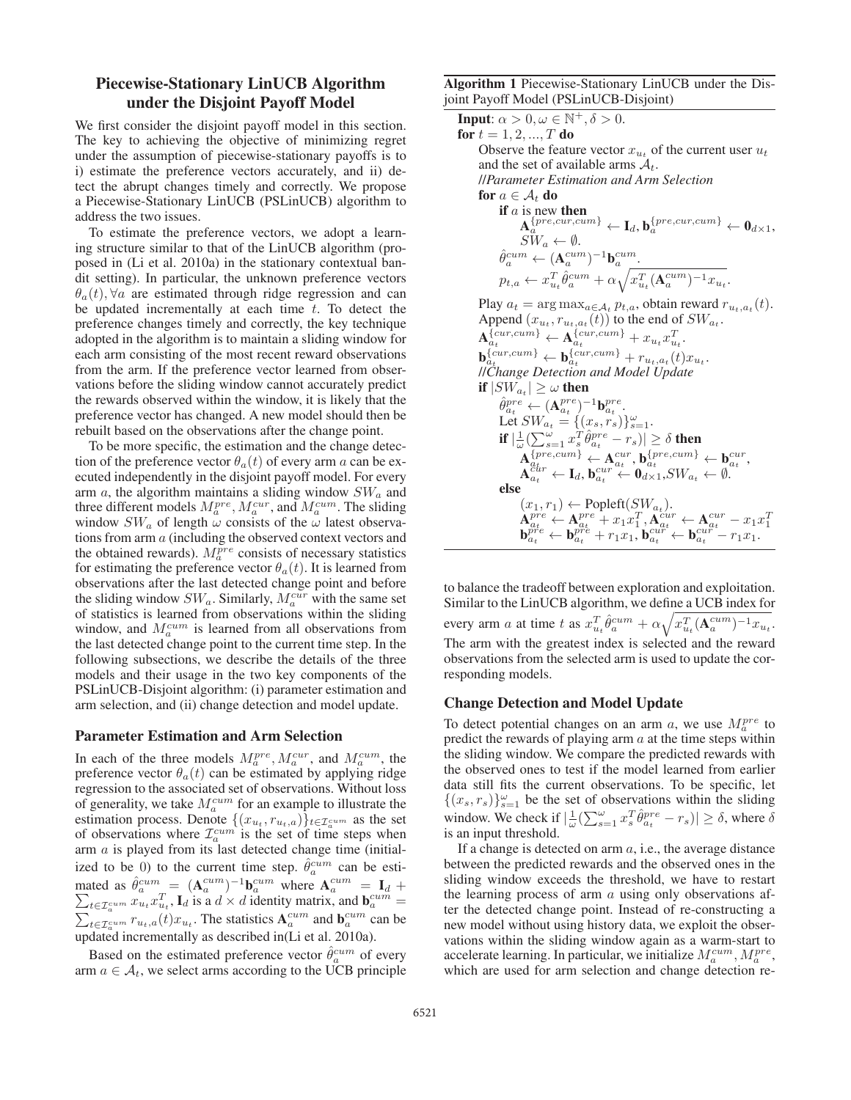# Piecewise-Stationary LinUCB Algorithm under the Disjoint Payoff Model

We first consider the disjoint payoff model in this section. The key to achieving the objective of minimizing regret under the assumption of piecewise-stationary payoffs is to i) estimate the preference vectors accurately, and ii) detect the abrupt changes timely and correctly. We propose a Piecewise-Stationary LinUCB (PSLinUCB) algorithm to address the two issues.

To estimate the preference vectors, we adopt a learning structure similar to that of the LinUCB algorithm (proposed in (Li et al. 2010a) in the stationary contextual bandit setting). In particular, the unknown preference vectors  $\theta_a(t)$ ,  $\forall a$  are estimated through ridge regression and can be updated incrementally at each time  $t$ . To detect the preference changes timely and correctly, the key technique adopted in the algorithm is to maintain a sliding window for each arm consisting of the most recent reward observations from the arm. If the preference vector learned from observations before the sliding window cannot accurately predict the rewards observed within the window, it is likely that the preference vector has changed. A new model should then be rebuilt based on the observations after the change point.

To be more specific, the estimation and the change detection of the preference vector  $\theta_a(t)$  of every arm a can be executed independently in the disjoint payoff model. For every arm  $a$ , the algorithm maintains a sliding window  $SW_a$  and three different models  $M_a^{pre}$ ,  $M_a^{cur}$ , and  $M_a^{cum}$ . The sliding window  $SW_a$  of length  $\omega$  consists of the  $\omega$  latest observations from arm a (including the observed context vectors and the obtained rewards).  $M_a^{pre}$  consists of necessary statistics for estimating the preference vector  $\theta_a(t)$ . It is learned from observations after the last detected change point and before the sliding window  $SW_a$ . Similarly,  $M_a^{cur}$  with the same set of statistics is learned from observations within the sliding window, and  $M_a^{cum}$  is learned from all observations from the last detected change point to the current time step. In the following subsections, we describe the details of the three models and their usage in the two key components of the PSLinUCB-Disjoint algorithm: (i) parameter estimation and arm selection, and (ii) change detection and model update.

#### Parameter Estimation and Arm Selection

In each of the three models  $M_a^{pre}$ ,  $M_a^{cur}$ , and  $M_a^{cum}$ , the preference vector  $\theta_a(t)$  can be estimated by applying ridge regression to the associated set of observations. Without loss of generality, we take  $M_a^{cum}$  for an example to illustrate the estimation process. Denote  $\{(x_{u_t}, r_{u_t,a})\}_{t \in \mathcal{I}_a^{cum}}$  as the set of observations where  $\mathcal{I}_a^{cum}$  is the set of time steps when arm  $a$  is played from its last detected change time (initialized to be 0) to the current time step.  $\hat{\theta}_a^{cum}$  can be esti-<br>mated as  $\hat{\theta}_{cum} = (\Lambda^{cum})^{-1} \mathbf{b}^{cum}$  where  $\Lambda^{cum} = \mathbf{I}$ . mated as  $\hat{\theta}_{a}^{cum} = (\mathbf{A}_{a}^{cum})^{-1} \mathbf{b}_{a}^{cum}$  where  $\mathbf{A}_{a}^{cum}$ <br>  $\sum_{a}$   $\mathbf{a} \cdot \mathbf{a}^{T}$  L is a  $d \times d$  identity matrix and mated as  $\theta_a^{cum} = (\mathbf{A}_a^{cum})^{-1} \mathbf{b}_a^{cum}$  where  $\mathbf{A}_a^{cum} = \mathbf{I}_d + \sum_{t \in \mathcal{I}_a^{cum}} x_{u_t} x_{u_t}^T$ ,  $\mathbf{I}_d$  is a  $d \times d$  identity matrix, and  $\mathbf{b}_a^{cum} =$  $\sum_{t \in \mathcal{I}_{\alpha}^{cum}} x_{u_t} x_{u_t}^*$ ,  $\mathbf{I}_d$  is a  $d \times d$  identity matrix, and  $\mathbf{b}_{a}^{cum} =$ <br> $\sum_{t \in \mathcal{I}_{\alpha}} x_{u_t} x_{u_t}$ ,  $\mathbf{I}_d$  is a  $d \times d$  identity matrix, and  $\mathbf{b}_{a}^{cum}$  can be  $\sum_{t \in \mathcal{I}_a^{cum}} r_{u_t, a}(t) x_{u_t}$ . The statistics  $A_a^{cum}$  and  $b_a^{cum}$  can be updated incrementally as described in(Li et al. 2010a).

Based on the estimated preference vector  $\hat{\theta}_a^{cum}$  of every arm  $a \in A_t$ , we select arms according to the UCB principle

Algorithm 1 Piecewise-Stationary LinUCB under the Disjoint Payoff Model (PSLinUCB-Disjoint)

**Input:**  $\alpha > 0, \omega \in \mathbb{N}^+, \delta > 0$ . for  $t = 1, 2, ..., T$  do Observe the feature vector  $x_{u_t}$  of the current user  $u_t$ and the set of available arms  $A_t$ . //*Parameter Estimation and Arm Selection* for  $a \in \mathcal{A}_t$  do if  $a$  is new then  $\mathbf{A}_a^{\{pre, cur,cum\}} \leftarrow \mathbf{I}_d, \mathbf{b}_a^{\{pre, cur,cum\}} \leftarrow \mathbf{0}_{d \times 1},$  $SW_a \leftarrow \emptyset$ .  $\hat{\theta}_a^{cum} \leftarrow (\mathbf{A}_a^{cum})^{-1} \mathbf{b}_a^{cum}.$  $p_{t,a} \leftarrow x_{u_t}^T \hat{\theta}_a^{cum} + \alpha \sqrt{x_{u_t}^T (\mathbf{A}_a^{cum})^{-1} x_{u_t}}.$ Play  $a_t = \arg \max_{a \in A_t} p_{t,a}$ , obtain reward  $r_{u_t,a_t}(t)$ . Append  $(x_{u_t}, r_{u_t, a_t}(t))$  to the end of  $SW_{a_t}$ .  $\mathbf{A}_{a_t}^{\{cur, cum\}} \leftarrow \mathbf{A}_{a_t}^{\{cur, cum\}} + x_{u_t} x_{u_t}^T.$  $\mathbf{b}_{a_t}^{\{cur, cum\}} \leftarrow \mathbf{b}_{a_t}^{\{cur, cum\}} + r_{u_t, a_t}(t)x_{u_t}.$ <br>
IIChange Detection and Model Undate //*Change Detection and Model Update* if  $|SW_{a_t}| \geq \omega$  then  $\hat{\theta}_{a_t}^{pre} \leftarrow (\mathbf{A}_{a_t}^{pre})^{-1} \mathbf{b}_{a_t}^{pre}.$ <br>Let  $SW_{\sim} = \{(x_i, x_j)\}$ Let  $SW_{a_t} = \{(x_s, r_s)\}_{s=1}^{\omega_t}$ .<br>
if  $\frac{1}{N}$ if  $|\frac{1}{\omega} (\sum_{s=1}^{\omega} x_s^T \hat{\theta}_{a_t}^{pre} - r_s)| \ge \delta$  then  $\mathbf{A}_{a_t}^{\{\text{pre,cum}\}} \leftarrow \mathbf{A}_{a_t}^{\text{cur}}, \mathbf{b}_{a_t}^{\{\text{pre,cum}\}} \leftarrow \mathbf{b}_{a_t}^{\text{cur}}, \ \mathbf{A}_{a_t}^{\text{cur}} \leftarrow \mathbf{I}_d, \mathbf{b}_{a_t}^{\text{cur}} \leftarrow \mathbf{0}_{d \times 1}, SW_{a_t} \leftarrow \emptyset.$ else  $\mathbf{A}^{pre}_{a_t} \leftarrow \mathbf{A}^{pre}_{a_t} + x_1 x_1^T, \mathbf{A}^{cur}_{a_t} \leftarrow \mathbf{A}^{cur}_{a_t} - x_1 x_1^T, \mathbf{b}^{cur}_{a_t} \leftarrow \mathbf{b}^{cur}_{a_t} - x_1 x_1^T, \mathbf{b}^{cur}_{a_t} \leftarrow \mathbf{b}^{cur}_{a_t} - r_1 x_1.$ 

to balance the tradeoff between exploration and exploitation. Similar to the LinUCB algorithm, we define a UCB index for every arm a at time t as  $x_{u_t}^T \hat{\theta}_a^{cum} + \alpha \sqrt{x_{u_t}^T (\mathbf{A}_a^{cum})^{-1} x_{u_t}}$ . The arm with the greatest index is selected and the reward observations from the selected arm is used to update the corresponding models.

#### Change Detection and Model Update

To detect potential changes on an arm a, we use  $M_a^{pre}$  to predict the rewards of playing arm  $a$  at the time steps within the sliding window. We compare the predicted rewards with the observed ones to test if the model learned from earlier data still fits the current observations. To be specific, let  $\{(x_s, r_s)\}_{s=1}^{\omega}$  be the set of observations within the sliding<br>window We check if  $[1(\nabla^{\omega} - \pi \hat{L} \hat{\theta}rre - r_{\perp})] > \delta$  where  $\delta$ window. We check if  $|\frac{1}{\omega}(\sum_{s=1}^{\omega}x_s^T\hat{\theta}_{a_t}^{pre}-r_s)| \geq \delta$ , where  $\delta$ is an input threshold.

If a change is detected on arm  $a$ , i.e., the average distance between the predicted rewards and the observed ones in the sliding window exceeds the threshold, we have to restart the learning process of arm  $a$  using only observations after the detected change point. Instead of re-constructing a new model without using history data, we exploit the observations within the sliding window again as a warm-start to accelerate learning. In particular, we initialize  $M_a^{cum}, M_a^{pre}$ , which are used for arm selection and change detection re-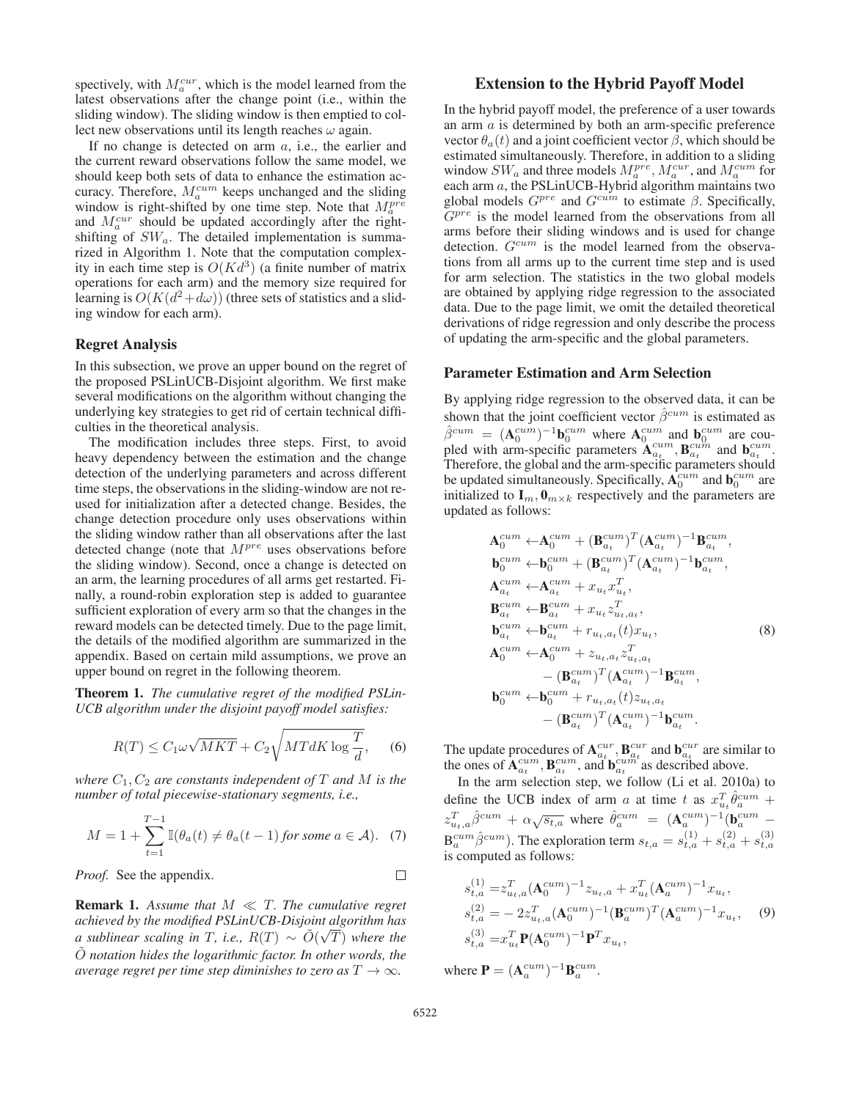spectively, with  $M_a^{cur}$ , which is the model learned from the latest observations after the change point (i.e., within the sliding window). The sliding window is then emptied to collect new observations until its length reaches  $\omega$  again.

If no change is detected on arm  $a$ , i.e., the earlier and the current reward observations follow the same model, we should keep both sets of data to enhance the estimation accuracy. Therefore,  $M_a^{cum}$  keeps unchanged and the sliding window is right-shifted by one time step. Note that  $M_a^{pre}$ and  $M_a^{cur}$  should be updated accordingly after the rightshifting of  $SW_a$ . The detailed implementation is summarized in Algorithm 1. Note that the computation complexity in each time step is  $O(Kd^3)$  (a finite number of matrix operations for each arm) and the memory size required for learning is  $O(K(d^2+d\omega))$  (three sets of statistics and a sliding window for each arm).

#### Regret Analysis

In this subsection, we prove an upper bound on the regret of the proposed PSLinUCB-Disjoint algorithm. We first make several modifications on the algorithm without changing the underlying key strategies to get rid of certain technical difficulties in the theoretical analysis.

The modification includes three steps. First, to avoid heavy dependency between the estimation and the change detection of the underlying parameters and across different time steps, the observations in the sliding-window are not reused for initialization after a detected change. Besides, the change detection procedure only uses observations within the sliding window rather than all observations after the last detected change (note that  $M^{pre}$  uses observations before the sliding window). Second, once a change is detected on an arm, the learning procedures of all arms get restarted. Finally, a round-robin exploration step is added to guarantee sufficient exploration of every arm so that the changes in the reward models can be detected timely. Due to the page limit, the details of the modified algorithm are summarized in the appendix. Based on certain mild assumptions, we prove an upper bound on regret in the following theorem.

Theorem 1. *The cumulative regret of the modified PSLin-UCB algorithm under the disjoint payoff model satisfies:*

$$
R(T) \le C_1 \omega \sqrt{MKT} + C_2 \sqrt{MTdK \log \frac{T}{d}}, \quad (6)
$$

*where*  $C_1$ ,  $C_2$  *are constants independent of*  $T$  *and*  $M$  *is the number of total piecewise-stationary segments, i.e.,*

$$
M = 1 + \sum_{t=1}^{T-1} \mathbb{I}(\theta_a(t) \neq \theta_a(t-1) \text{ for some } a \in \mathcal{A}). \tag{7}
$$

*Proof.* See the appendix.

**Remark 1.** Assume that  $M \ll T$ . The cumulative regret *achieved by the modified PSLinUCB-Disjoint algorithm has* √ *a sublinear scaling in T, i.e.,*  $R(T) ∼ \tilde{O}(\sqrt{T})$  where the<br> $\tilde{O}$  notation hides the logarithmic factor. In other words, the  $\tilde{O}$  *notation hides the logarithmic factor. In other words, the average regret per time step diminishes to zero as*  $T \rightarrow \infty$ *.* 

# Extension to the Hybrid Payoff Model

In the hybrid payoff model, the preference of a user towards an arm a is determined by both an arm-specific preference vector  $\theta_a(t)$  and a joint coefficient vector  $\beta$ , which should be estimated simultaneously. Therefore, in addition to a sliding window  $SW_a$  and three models  $M_a^{pre}$ ,  $M_a^{cur}$ , and  $M_a^{cum}$  for each arm a, the PSLinUCB-Hybrid algorithm maintains two global models  $G^{pre}$  and  $G^{cum}$  to estimate  $\beta$ . Specifically,  $G^{pre}$  is the model learned from the observations from all arms before their sliding windows and is used for change detection.  $G^{cum}$  is the model learned from the observations from all arms up to the current time step and is used for arm selection. The statistics in the two global models are obtained by applying ridge regression to the associated data. Due to the page limit, we omit the detailed theoretical derivations of ridge regression and only describe the process of updating the arm-specific and the global parameters.

#### Parameter Estimation and Arm Selection

By applying ridge regression to the observed data, it can be shown that the joint coefficient vector  $\hat{\beta}^{cum}$  is estimated as  $\hat{\beta}^{cum} = (\mathbf{A}_0^{cum})^{-1} \mathbf{b}_0^{cum}$  where  $\mathbf{A}_0^{cum}$  and  $\mathbf{b}_0^{cum}$  are cou-<br>pled with arm-specific parameters  $\mathbf{A}_{a_t}^{cum}$ ,  $\mathbf{B}_{a_t}^{cum}$  and  $\mathbf{b}_{a_t}^{cum}$ . Therefore, the global and the arm-specific parameters should<br>be updated simultaneously. Specifically,  $A_0^{cum}$  and  $b_0^{cum}$  are initialized to  $\mathbf{I}_m$ ,  $\mathbf{0}_{m \times k}$  respectively and the parameters are updated as follows:

$$
\mathbf{A}_{0}^{cum} \leftarrow \mathbf{A}_{0}^{cum} + (\mathbf{B}_{a_{t}}^{cum})^{T} (\mathbf{A}_{a_{t}}^{cum})^{-1} \mathbf{B}_{a_{t}}^{cum},
$$
\n
$$
\mathbf{b}_{0}^{cum} \leftarrow \mathbf{b}_{0}^{cum} + (\mathbf{B}_{a_{t}}^{cum})^{T} (\mathbf{A}_{a_{t}}^{cum})^{-1} \mathbf{b}_{a_{t}}^{cum},
$$
\n
$$
\mathbf{A}_{a_{t}}^{cum} \leftarrow \mathbf{A}_{a_{t}}^{cum} + x_{u_{t}} x_{u_{t}}^{T},
$$
\n
$$
\mathbf{B}_{a_{t}}^{cum} \leftarrow \mathbf{B}_{a_{t}}^{cum} + x_{u_{t}} z_{u_{t}, a_{t}}^{T},
$$
\n
$$
\mathbf{b}_{a_{t}}^{cum} \leftarrow \mathbf{b}_{a_{t}}^{cum} + r_{u_{t}, a_{t}}(t) x_{u_{t}},
$$
\n
$$
\mathbf{A}_{0}^{cum} \leftarrow \mathbf{A}_{0}^{cum} + z_{u_{t}, a_{t}} z_{u_{t}, a_{t}}^{T},
$$
\n
$$
-(\mathbf{B}_{a_{t}}^{cum})^{T} (\mathbf{A}_{a_{t}}^{cum})^{-1} \mathbf{B}_{a_{t}}^{cum},
$$
\n
$$
\mathbf{b}_{0}^{cum} \leftarrow \mathbf{b}_{0}^{cum} + r_{u_{t}, a_{t}}(t) z_{u_{t}, a_{t}} - (\mathbf{B}_{a_{t}}^{cum})^{T} (\mathbf{A}_{a_{t}}^{cum})^{-1} \mathbf{b}_{a_{t}}^{cum}.
$$

The update procedures of  ${\bf A}^{cur}_{a_t}$ ,  ${\bf B}^{cur}_{a_t}$  and  ${\bf b}^{cur}_{a_t}$  are similar to the ones of  ${\bf A}^{cum}_{a_t}$ ,  ${\bf B}^{cum}_{a_t}$ , and  ${\bf b}^{cum}_{a_t}$  as described above.

In the arm selection step, we follow (Li et al. 2010a) to define the UCB index of arm a at time t as  $x_{u_t}^T \hat{\theta}_a^{cum} + z_{u_t,a}^T \hat{\beta}_c^{cum} + \alpha \sqrt{s_{t,a}}$  where  $\hat{\theta}_a^{cum} = (\mathbf{A}_a^{cum})^{-1} (\mathbf{b}_a^{cum} - \mathbf{b}_a^{cum})$  $B_{a}^{cum} \hat{\beta}^{cum}$ ). The exploration term  $s_{t,a} = s_{t,a}^{(1)} + s_{t,a}^{(2)} + s_{t,a}^{(3)}$ is computed as follows:

$$
s_{t,a}^{(1)} = z_{u_t,a}^T (\mathbf{A}_0^{cum})^{-1} z_{u_t,a} + x_{u_t}^T (\mathbf{A}_a^{cum})^{-1} x_{u_t},
$$
  
\n
$$
s_{t,a}^{(2)} = -2 z_{u_t,a}^T (\mathbf{A}_0^{cum})^{-1} (\mathbf{B}_a^{cum})^T (\mathbf{A}_a^{cum})^{-1} x_{u_t},
$$
  
\n
$$
s_{t,a}^{(3)} = x_{u_t}^T \mathbf{P} (\mathbf{A}_0^{cum})^{-1} \mathbf{P}^T x_{u_t},
$$
  
\n(9)

where  $\mathbf{P} = (\mathbf{A}_a^{cum})^{-1} \mathbf{B}_a^{cum}$ .

 $\Box$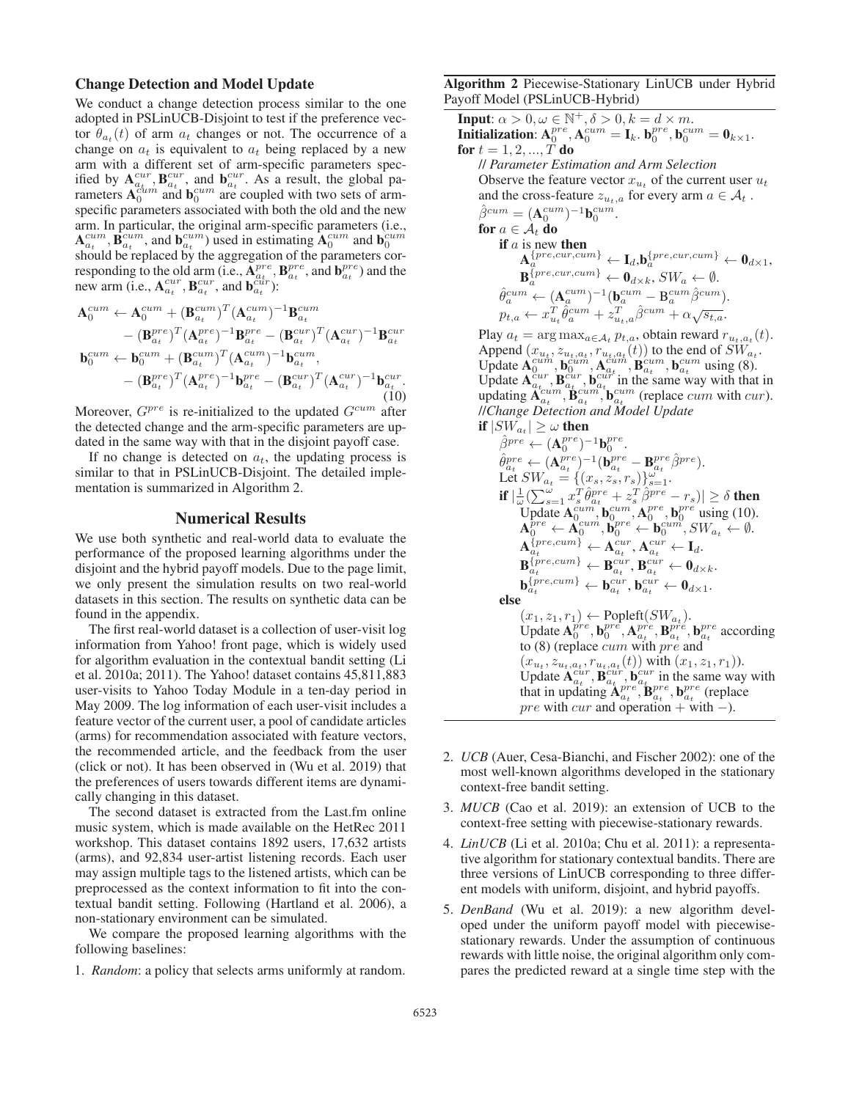#### Change Detection and Model Update

We conduct a change detection process similar to the one adopted in PSLinUCB-Disjoint to test if the preference vector  $\theta_{a_t}(t)$  of arm  $a_t$  changes or not. The occurrence of a change on  $a_t$  is equivalent to  $a_t$  being replaced by a new arm with a different set of arm-specific parameters specified by  $A_{a_t}^{cur}$ ,  $B_{a_t}^{cur}$ , and  $b_{a_t}^{cur}$ . As a result, the global parameters  $A_0^{cum}$  and  $b_0^{cum}$  are coupled with two sets of armspecific parameters associated with both the old and the new arm. In particular, the original arm-specific parameters (i.e.,  ${\bf A}_{a_t}^{cum}, {\bf B}_{a_t}^{cum},$  and  ${\bf b}_{a_t}^{cum}$ ) used in estimating  ${\bf A}_0^{cum}$  and  ${\bf b}_0^{cum}$  should be replaced by the aggregation of the parameters corresponding to the old arm (i.e.,  $A_{a_t}^{pre}$ ,  $B_{a_t}^{pre}$ , and  $b_{a_t}^{pre}$ ) and the new arm (i.e.,  $A_{a_t}^{cur}$ ,  $B_{a_t}^{cur}$ , and  $b_{a_t}^{cur}$ ):

$$
\mathbf{A}_{0}^{cum} \leftarrow \mathbf{A}_{0}^{cum} + (\mathbf{B}_{a_{t}}^{cum})^{T} (\mathbf{A}_{a_{t}}^{cum})^{-1} \mathbf{B}_{a_{t}}^{cum} \n- (\mathbf{B}_{a_{t}}^{pre})^{T} (\mathbf{A}_{a_{t}}^{pre})^{-1} \mathbf{B}_{a_{t}}^{pre} - (\mathbf{B}_{a_{t}}^{cur})^{T} (\mathbf{A}_{a_{t}}^{cur})^{-1} \mathbf{B}_{a_{t}}^{cur} \n\mathbf{b}_{0}^{cum} \leftarrow \mathbf{b}_{0}^{cum} + (\mathbf{B}_{a_{t}}^{cum})^{T} (\mathbf{A}_{a_{t}}^{cum})^{-1} \mathbf{b}_{a_{t}}^{cum}, \n- (\mathbf{B}_{a_{t}}^{pre})^{T} (\mathbf{A}_{a_{t}}^{pre})^{-1} \mathbf{b}_{a_{t}}^{pre} - (\mathbf{B}_{a_{t}}^{cur})^{T} (\mathbf{A}_{a_{t}}^{cur})^{-1} \mathbf{b}_{a_{t}}^{cur}.
$$
\n(10)

Moreover,  $G^{pre}$  is re-initialized to the updated  $G^{cum}$  after the detected change and the arm-specific parameters are updated in the same way with that in the disjoint payoff case.

If no change is detected on  $a_t$ , the updating process is similar to that in PSLinUCB-Disjoint. The detailed implementation is summarized in Algorithm 2.

# Numerical Results

We use both synthetic and real-world data to evaluate the performance of the proposed learning algorithms under the disjoint and the hybrid payoff models. Due to the page limit, we only present the simulation results on two real-world datasets in this section. The results on synthetic data can be found in the appendix.

The first real-world dataset is a collection of user-visit log information from Yahoo! front page, which is widely used for algorithm evaluation in the contextual bandit setting (Li et al. 2010a; 2011). The Yahoo! dataset contains 45,811,883 user-visits to Yahoo Today Module in a ten-day period in May 2009. The log information of each user-visit includes a feature vector of the current user, a pool of candidate articles (arms) for recommendation associated with feature vectors, the recommended article, and the feedback from the user (click or not). It has been observed in (Wu et al. 2019) that the preferences of users towards different items are dynamically changing in this dataset.

The second dataset is extracted from the Last.fm online music system, which is made available on the HetRec 2011 workshop. This dataset contains 1892 users, 17,632 artists (arms), and 92,834 user-artist listening records. Each user may assign multiple tags to the listened artists, which can be preprocessed as the context information to fit into the contextual bandit setting. Following (Hartland et al. 2006), a non-stationary environment can be simulated.

We compare the proposed learning algorithms with the following baselines:

1. *Random*: a policy that selects arms uniformly at random.

Algorithm 2 Piecewise-Stationary LinUCB under Hybrid Payoff Model (PSLinUCB-Hybrid)

**Input:**  $\alpha > 0, \omega \in \mathbb{N}^+, \delta > 0, k = d \times m$ .<br> **Initialization:**  $A_0^{pre}, A_0^{cum} = I_k, b_0^{pre}, b_0^{cum} = 0_{k \times 1}$ .<br> **for**  $t = 1, 2, ..., T$  **do** for  $t = 1, 2, ..., T$  do // *Parameter Estimation and Arm Selection* Observe the feature vector  $x_{u_t}$  of the current user  $u_t$ and the cross-feature  $z_{u_t,a}$  for every arm  $a \in \mathcal{A}_t$ .  $\hat{\beta}^{cum} = (\mathbf{A}_0^{cum})^{-1} \mathbf{b}_0^{cum}.$ <br>for  $a \in A$ , do for  $a \in \mathcal{A}_t$  do if  $a$  is new then  $\mathbf{A}_a^{\{pre, cur,cum\}} \leftarrow \mathbf{I}_d, \mathbf{b}_a^{\{pre, cur,cum\}} \leftarrow \mathbf{0}_{d \times 1},$  $\mathbf{B}_a^{\{\textit{pre,cur,cum}\}} \leftarrow \mathbf{0}_{d \times k}, SW_a \leftarrow \emptyset.$  $\hat{\theta}_a^{cum} \leftarrow (\mathbf{A}_a^{cum})^{-1} (\mathbf{b}_a^{cum} - \mathbf{B}_a^{cum} \hat{\beta}^{cum}).$ <br>  $p_{t,a} \leftarrow x_{u_t}^T \hat{\theta}_a^{cum} + z_{u_t,a}^T \hat{\beta}^{cum} + \alpha \sqrt{s_{t,a}}.$ Play  $a_t = \arg \max_{a \in A_t} p_{t,a}$ , obtain reward  $r_{u_t,a_t}(t)$ .<br>Append  $(r_u, z_u, r_u, (t))$  to the end of  $SW$ . Append  $(x_{u_t}, z_{u_t, a_t}, r_{u_t, a_t}(t))$  to the end of  $\overline{SW}_{a_t}^{\prime}$ .<br>Update  $\mathbf{A}_{0}^{cum}$ ,  $\mathbf{b}_{0}^{cum}$ ,  $\mathbf{A}_{au}^{cum}$ ,  $\mathbf{B}_{a_t}^{cum}$ ,  $\mathbf{b}_{a_t}^{cum}$  using (8).<br>Update  $\mathbf{A}_{a_t}^{cur}$ ,  $\mathbf{B}_{a_t}^{cur}$ ,  $\mathbf{b}_{au}^{cur}$  in the sam //*Change Detection and Model Update* if  $|SW_{a_t}| \geq \omega$  then  $\hat{\beta}^{pre} \leftarrow (\mathbf{A}_0^{pre})^{-1} \mathbf{b}_0^{pre}.$ <br>  $\hat{\rho}$ pre , (Apre – 1 (bpre  $\hat{\theta}_{a_t}^{pre} \leftarrow (\mathbf{A}_{a_t}^{pre})^{-1} (\mathbf{b}_{a_t}^{pre} - \mathbf{B}_{a_t}^{pre} \hat{\beta}^{pre}).$ <br>Let  $SW_s = \{(x_s, z_s, r_s)\}^{\omega}$ .  $\text{Let } SW_{a_t} = \{(x_s, z_s, r_s)\}_{s=1}^{\omega_t}.$ if  $|\frac{1}{\omega} (\sum_{s=1}^{\omega} x_s^T \hat{\theta}_{q_t}^{pre} + z_s^T \hat{\beta}_{r}^{pre} - r_s)| \ge \delta$  then<br>Update  $\mathbf{A}_{0}^{even}$ ,  $\mathbf{b}_{0}^{even}$ ,  $\mathbf{A}_{0}^{pre}$ ,  $\mathbf{b}_{0}^{pre}$  using (10).<br> $\mathbf{A}_{0}^{pre} \leftarrow \mathbf{A}_{0}^{num}$ ,  $\mathbf{b}_{0}^{pre} \leftarrow \mathbf{b}_{0}^{cum}$ ,  $SW_{a_t} \leftarrow \emptyset$ .  $\mathbf{A}_{a_{t}}^{\left\{ pre, cum \right\} } \leftarrow \mathbf{A}_{a_{t}}^{cur}, \mathbf{A}_{a_{t}}^{cur} \leftarrow \mathbf{I}_{d}.$  $\mathbf{B}_{a_t}^{\{pre, cum\}} \leftarrow \mathbf{B}_{a_t}^{cur}, \mathbf{B}_{a_t}^{cur} \leftarrow \mathbf{0}_{d \times k}.$  $\mathbf{b}_{a_t}^{\{pre, cum\}} \leftarrow \mathbf{b}_{a_t}^{cur}, \mathbf{b}_{a_t}^{cur} \leftarrow \mathbf{0}_{d \times 1}.$ else  $(x_1, z_1, r_1) \leftarrow \text{Popleft}(SW_{a_t})$ .<br>Update  $\mathbf{A}_0^{pre}, \mathbf{b}_0^{pre}, \mathbf{A}_{a_t}^{pre}, \mathbf{B}_{a_t}^{pre}, \mathbf{b}_{a_t}^{pre}$  according to (8) (replace cum with pre and  $(x_u, z_{u_t, a_t}, r_{u_t, a_t}(t))$  with  $(x_1, z_1, r_1)$ ).<br>Update  $\mathbf{A}_{a_t}^{cur}$ ,  $\mathbf{B}_{a_t}^{cur}$ ,  $\mathbf{b}_{a_t}^{cur}$  in the same way with that in updating  $\mathbf{A}_{a_t}^{pre}$ ,  $\mathbf{b}_{a_t}^{pre}$ ,  $\mathbf{b}_{a_t}^{pre}$  (replace pre with cur and operation + with  $-$ ).

- 2. *UCB* (Auer, Cesa-Bianchi, and Fischer 2002): one of the most well-known algorithms developed in the stationary context-free bandit setting.
- 3. *MUCB* (Cao et al. 2019): an extension of UCB to the context-free setting with piecewise-stationary rewards.
- 4. *LinUCB* (Li et al. 2010a; Chu et al. 2011): a representative algorithm for stationary contextual bandits. There are three versions of LinUCB corresponding to three different models with uniform, disjoint, and hybrid payoffs.
- 5. *DenBand* (Wu et al. 2019): a new algorithm developed under the uniform payoff model with piecewisestationary rewards. Under the assumption of continuous rewards with little noise, the original algorithm only compares the predicted reward at a single time step with the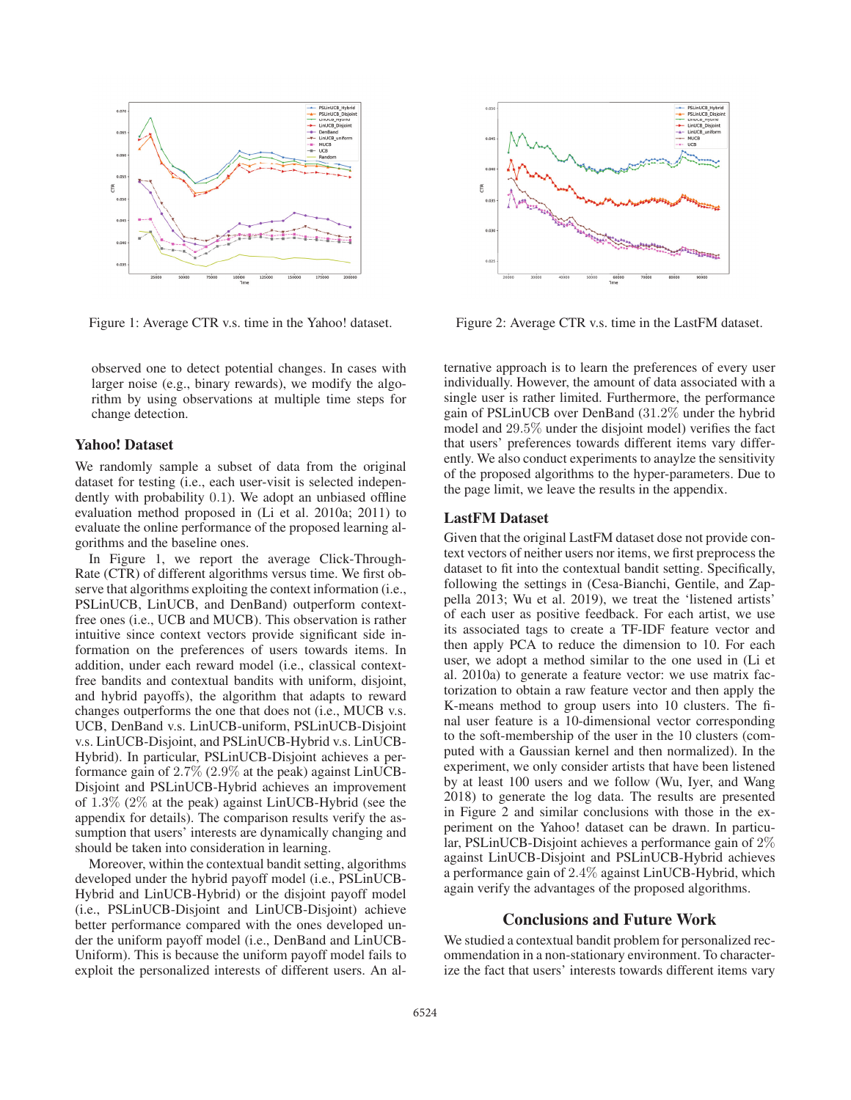

Figure 1: Average CTR v.s. time in the Yahoo! dataset.

observed one to detect potential changes. In cases with larger noise (e.g., binary rewards), we modify the algorithm by using observations at multiple time steps for change detection.

# Yahoo! Dataset

We randomly sample a subset of data from the original dataset for testing (i.e., each user-visit is selected independently with probability 0.1). We adopt an unbiased offline evaluation method proposed in (Li et al. 2010a; 2011) to evaluate the online performance of the proposed learning algorithms and the baseline ones.

In Figure 1, we report the average Click-Through-Rate (CTR) of different algorithms versus time. We first observe that algorithms exploiting the context information (i.e., PSLinUCB, LinUCB, and DenBand) outperform contextfree ones (i.e., UCB and MUCB). This observation is rather intuitive since context vectors provide significant side information on the preferences of users towards items. In addition, under each reward model (i.e., classical contextfree bandits and contextual bandits with uniform, disjoint, and hybrid payoffs), the algorithm that adapts to reward changes outperforms the one that does not (i.e., MUCB v.s. UCB, DenBand v.s. LinUCB-uniform, PSLinUCB-Disjoint v.s. LinUCB-Disjoint, and PSLinUCB-Hybrid v.s. LinUCB-Hybrid). In particular, PSLinUCB-Disjoint achieves a performance gain of 2.7% (2.9% at the peak) against LinUCB-Disjoint and PSLinUCB-Hybrid achieves an improvement of 1.3% (2% at the peak) against LinUCB-Hybrid (see the appendix for details). The comparison results verify the assumption that users' interests are dynamically changing and should be taken into consideration in learning.

Moreover, within the contextual bandit setting, algorithms developed under the hybrid payoff model (i.e., PSLinUCB-Hybrid and LinUCB-Hybrid) or the disjoint payoff model (i.e., PSLinUCB-Disjoint and LinUCB-Disjoint) achieve better performance compared with the ones developed under the uniform payoff model (i.e., DenBand and LinUCB-Uniform). This is because the uniform payoff model fails to exploit the personalized interests of different users. An al-



Figure 2: Average CTR v.s. time in the LastFM dataset.

ternative approach is to learn the preferences of every user individually. However, the amount of data associated with a single user is rather limited. Furthermore, the performance gain of PSLinUCB over DenBand (31.2% under the hybrid model and 29.5% under the disjoint model) verifies the fact that users' preferences towards different items vary differently. We also conduct experiments to anaylze the sensitivity of the proposed algorithms to the hyper-parameters. Due to the page limit, we leave the results in the appendix.

# LastFM Dataset

Given that the original LastFM dataset dose not provide context vectors of neither users nor items, we first preprocess the dataset to fit into the contextual bandit setting. Specifically, following the settings in (Cesa-Bianchi, Gentile, and Zappella 2013; Wu et al. 2019), we treat the 'listened artists' of each user as positive feedback. For each artist, we use its associated tags to create a TF-IDF feature vector and then apply PCA to reduce the dimension to 10. For each user, we adopt a method similar to the one used in (Li et al. 2010a) to generate a feature vector: we use matrix factorization to obtain a raw feature vector and then apply the K-means method to group users into 10 clusters. The final user feature is a 10-dimensional vector corresponding to the soft-membership of the user in the 10 clusters (computed with a Gaussian kernel and then normalized). In the experiment, we only consider artists that have been listened by at least 100 users and we follow (Wu, Iyer, and Wang 2018) to generate the log data. The results are presented in Figure 2 and similar conclusions with those in the experiment on the Yahoo! dataset can be drawn. In particular, PSLinUCB-Disjoint achieves a performance gain of 2% against LinUCB-Disjoint and PSLinUCB-Hybrid achieves a performance gain of 2.4% against LinUCB-Hybrid, which again verify the advantages of the proposed algorithms.

# Conclusions and Future Work

We studied a contextual bandit problem for personalized recommendation in a non-stationary environment. To characterize the fact that users' interests towards different items vary